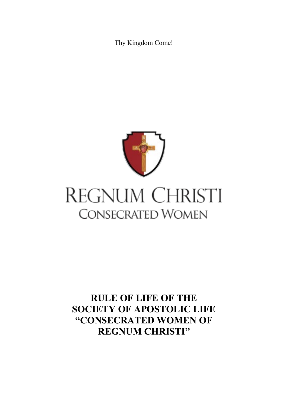Thy Kingdom Come!



# REGNUM CHRISTI **CONSECRATED WOMEN**

# **RULE OF LIFE OF THE SOCIETY OF APOSTOLIC LIFE "CONSECRATED WOMEN OF REGNUM CHRISTI"**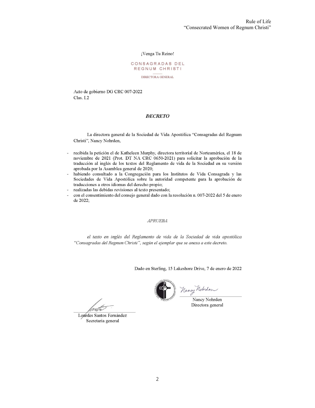#### ¡Venga Tu Reino!

#### CONSAGRADAS DEL REGNUM CHRISTI

DIRECTORA GENERAL

Acto de gobierno DG CRC 007-2022 Clas. I.2

#### **DECRETO**

La directora general de la Sociedad de Vida Apostólica "Consagradas del Regnum Christi", Nancy Nohrden,

- recibida la petición el de Katheleen Murphy, directora territorial de Norteamérica, el 18 de noviembre de 2021 (Prot. DT NA CRC 0650-2021) para solicitar la aprobación de la traducción al inglés de los textos del Reglamento de vida de la Sociedad en su versión aprobada por la Asamblea general de 2020;
- habiendo consultado a la Congregación para los Institutos de Vida Consagrada y las Sociedades de Vida Apostólica sobre la autoridad competente para la aprobación de traducciones a otros idiomas del derecho propio;
- realizadas las debidas revisiones al texto presentado;
- con el consentimiento del consejo general dado con la resolución n. 007-2022 del 5 de enero de 2022.

#### **APRUEBA**

el texto en inglés del Reglamento de vida de la Sociedad de vida apostólica "Consagradas del Regnum Christi", según el ejemplar que se anexa a este decreto.

Dado en Sterling, 15 Lakeshore Drive, 7 de enero de 2022



Lourdes Santos Fernández Secretaria general

Nancy Notwaler

Nancy Nohrden Directora general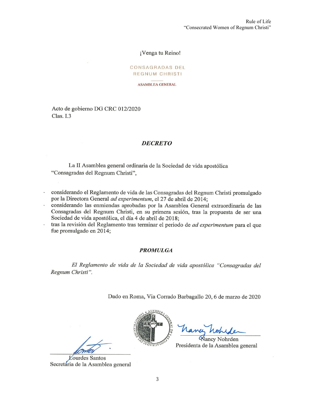#### ¡Venga tu Reino!

#### CONSAGRADAS DEL REGNUM CHRISTI

**ASAMBLEA GENERAL** 

Acto de gobierno DG CRC 012/2020 Clas. I.3

#### **DECRETO**

La II Asamblea general ordinaria de la Sociedad de vida apostólica "Consagradas del Regnum Christi",

- considerando el Reglamento de vida de las Consagradas del Regnum Christi promulgado por la Directora General ad experimentum, el 27 de abril de 2014;
- considerando las enmiendas aprobadas por la Asamblea General extraordinaria de las Consagradas del Regnum Christi, en su primera sesión, tras la propuesta de ser una Sociedad de vida apostólica, el día 4 de abril de 2018;
- tras la revisión del Reglamento tras terminar el periodo de *ad experimentum* para el que fue promulgado en 2014;

#### **PROMULGA**

El Reglamento de vida de la Sociedad de vida apostólica "Consagradas del Regnum Christi".

Dado en Roma, Via Corrado Barbagallo 20, 6 de marzo de 2020



**Lourdes Santos** Secretária de la Asamblea general



Vancy Nohrden Presidenta de la Asamblea general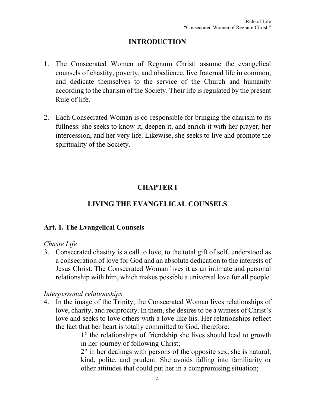# **INTRODUCTION**

- 1. The Consecrated Women of Regnum Christi assume the evangelical counsels of chastity, poverty, and obedience, live fraternal life in common, and dedicate themselves to the service of the Church and humanity according to the charism of the Society. Their life is regulated by the present Rule of life.
- 2. Each Consecrated Woman is co-responsible for bringing the charism to its fullness: she seeks to know it, deepen it, and enrich it with her prayer, her intercession, and her very life. Likewise, she seeks to live and promote the spirituality of the Society.

# **CHAPTER I**

# **LIVING THE EVANGELICAL COUNSELS**

# **Art. 1. The Evangelical Counsels**

# *Chaste Life*

3. Consecrated chastity is a call to love, to the total gift of self, understood as a consecration of love for God and an absolute dedication to the interests of Jesus Christ. The Consecrated Woman lives it as an intimate and personal relationship with him, which makes possible a universal love for all people.

# *Interpersonal relationships*

4. In the image of the Trinity, the Consecrated Woman lives relationships of love, charity, and reciprocity. In them, she desires to be a witness of Christ's love and seeks to love others with a love like his. Her relationships reflect the fact that her heart is totally committed to God, therefore:

1° the relationships of friendship she lives should lead to growth in her journey of following Christ;

 $2^{\circ}$  in her dealings with persons of the opposite sex, she is natural, kind, polite, and prudent. She avoids falling into familiarity or other attitudes that could put her in a compromising situation;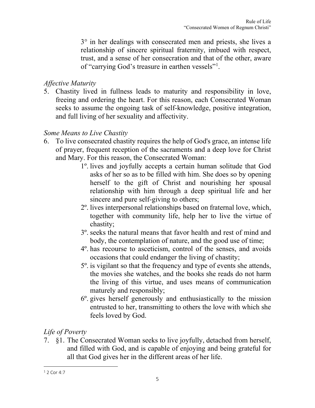3° in her dealings with consecrated men and priests, she lives a relationship of sincere spiritual fraternity, imbued with respect, trust, and a sense of her consecration and that of the other, aware of "carrying God's treasure in earthen vessels"<sup>[1](#page-4-0)</sup>.

# *Affective Maturity*

5. Chastity lived in fullness leads to maturity and responsibility in love, freeing and ordering the heart. For this reason, each Consecrated Woman seeks to assume the ongoing task of self-knowledge, positive integration, and full living of her sexuality and affectivity.

# *Some Means to Live Chastity*

- 6. To live consecrated chastity requires the help of God's grace, an intense life of prayer, frequent reception of the sacraments and a deep love for Christ and Mary. For this reason, the Consecrated Woman:
	- 1º. lives and joyfully accepts a certain human solitude that God asks of her so as to be filled with him. She does so by opening herself to the gift of Christ and nourishing her spousal relationship with him through a deep spiritual life and her sincere and pure self-giving to others;
	- 2º. lives interpersonal relationships based on fraternal love, which, together with community life, help her to live the virtue of chastity;
	- 3º. seeks the natural means that favor health and rest of mind and body, the contemplation of nature, and the good use of time;
	- 4º. has recourse to asceticism, control of the senses, and avoids occasions that could endanger the living of chastity;
	- 5º. is vigilant so that the frequency and type of events she attends, the movies she watches, and the books she reads do not harm the living of this virtue, and uses means of communication maturely and responsibly;
	- 6º. gives herself generously and enthusiastically to the mission entrusted to her, transmitting to others the love with which she feels loved by God.

# *Life of Poverty*

7. §1. The Consecrated Woman seeks to live joyfully, detached from herself, and filled with God, and is capable of enjoying and being grateful for all that God gives her in the different areas of her life.

<span id="page-4-0"></span> $12$  Cor 4:7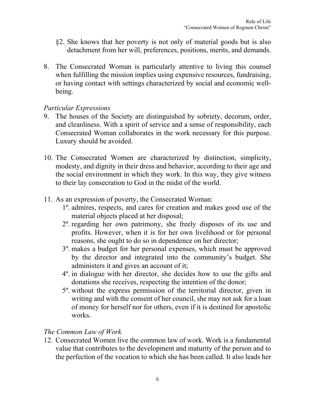- §2. She knows that her poverty is not only of material goods but is also detachment from her will, preferences, positions, merits, and demands.
- 8. The Consecrated Woman is particularly attentive to living this counsel when fulfilling the mission implies using expensive resources, fundraising, or having contact with settings characterized by social and economic wellbeing.

#### *Particular Expressions*

- 9. The houses of the Society are distinguished by sobriety, decorum, order, and cleanliness. With a spirit of service and a sense of responsibility, each Consecrated Woman collaborates in the work necessary for this purpose. Luxury should be avoided.
- 10. The Consecrated Women are characterized by distinction, simplicity, modesty, and dignity in their dress and behavior, according to their age and the social environment in which they work. In this way, they give witness to their lay consecration to God in the midst of the world.
- 11. As an expression of poverty, the Consecrated Woman:
	- 1º. admires, respects, and cares for creation and makes good use of the material objects placed at her disposal;
	- 2º. regarding her own patrimony, she freely disposes of its use and profits. However, when it is for her own livelihood or for personal reasons, she ought to do so in dependence on her director;
	- 3º. makes a budget for her personal expenses, which must be approved by the director and integrated into the community's budget. She administers it and gives an account of it;
	- 4º. in dialogue with her director, she decides how to use the gifts and donations she receives, respecting the intention of the donor;
	- 5º. without the express permission of the territorial director, given in writing and with the consent of her council, she may not ask for a loan of money for herself nor for others, even if it is destined for apostolic works.

# *The Common Law of Work*

12. Consecrated Women live the common law of work. Work is a fundamental value that contributes to the development and maturity of the person and to the perfection of the vocation to which she has been called. It also leads her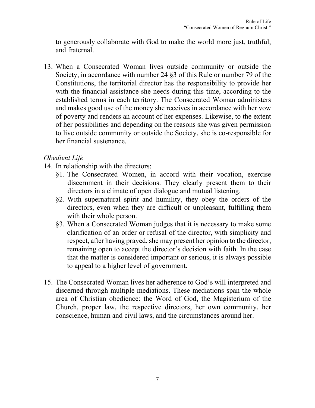to generously collaborate with God to make the world more just, truthful, and fraternal.

13. When a Consecrated Woman lives outside community or outside the Society, in accordance with number 24 §3 of this Rule or number 79 of the Constitutions, the territorial director has the responsibility to provide her with the financial assistance she needs during this time, according to the established terms in each territory. The Consecrated Woman administers and makes good use of the money she receives in accordance with her vow of poverty and renders an account of her expenses. Likewise, to the extent of her possibilities and depending on the reasons she was given permission to live outside community or outside the Society, she is co-responsible for her financial sustenance.

# *Obedient Life*

- 14. In relationship with the directors:
	- §1. The Consecrated Women, in accord with their vocation, exercise discernment in their decisions. They clearly present them to their directors in a climate of open dialogue and mutual listening.
	- §2. With supernatural spirit and humility, they obey the orders of the directors, even when they are difficult or unpleasant, fulfilling them with their whole person.
	- §3. When a Consecrated Woman judges that it is necessary to make some clarification of an order or refusal of the director, with simplicity and respect, after having prayed, she may present her opinion to the director, remaining open to accept the director's decision with faith. In the case that the matter is considered important or serious, it is always possible to appeal to a higher level of government.
- 15. The Consecrated Woman lives her adherence to God's will interpreted and discerned through multiple mediations. These mediations span the whole area of Christian obedience: the Word of God, the Magisterium of the Church, proper law, the respective directors, her own community, her conscience, human and civil laws, and the circumstances around her.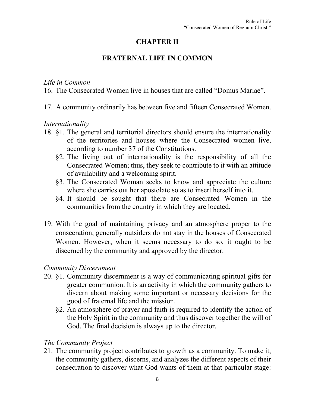# **CHAPTER II**

# **FRATERNAL LIFE IN COMMON**

## *Life in Common*

- 16. The Consecrated Women live in houses that are called "Domus Mariae".
- 17. A community ordinarily has between five and fifteen Consecrated Women.

# *Internationality*

- 18. §1. The general and territorial directors should ensure the internationality of the territories and houses where the Consecrated women live, according to number 37 of the Constitutions.
	- §2. The living out of internationality is the responsibility of all the Consecrated Women; thus, they seek to contribute to it with an attitude of availability and a welcoming spirit.
	- §3. The Consecrated Woman seeks to know and appreciate the culture where she carries out her apostolate so as to insert herself into it.
	- §4. It should be sought that there are Consecrated Women in the communities from the country in which they are located.
- 19. With the goal of maintaining privacy and an atmosphere proper to the consecration, generally outsiders do not stay in the houses of Consecrated Women. However, when it seems necessary to do so, it ought to be discerned by the community and approved by the director.

# *Community Discernment*

- 20. §1. Community discernment is a way of communicating spiritual gifts for greater communion. It is an activity in which the community gathers to discern about making some important or necessary decisions for the good of fraternal life and the mission.
	- §2. An atmosphere of prayer and faith is required to identify the action of the Holy Spirit in the community and thus discover together the will of God. The final decision is always up to the director.

# *The Community Project*

21. The community project contributes to growth as a community. To make it, the community gathers, discerns, and analyzes the different aspects of their consecration to discover what God wants of them at that particular stage: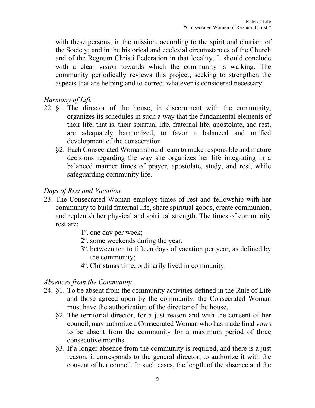with these persons; in the mission, according to the spirit and charism of the Society; and in the historical and ecclesial circumstances of the Church and of the Regnum Christi Federation in that locality. It should conclude with a clear vision towards which the community is walking. The community periodically reviews this project, seeking to strengthen the aspects that are helping and to correct whatever is considered necessary.

# *Harmony of Life*

- 22. §1. The director of the house, in discernment with the community, organizes its schedules in such a way that the fundamental elements of their life, that is, their spiritual life, fraternal life, apostolate, and rest, are adequately harmonized, to favor a balanced and unified development of the consecration.
	- §2. Each Consecrated Woman should learn to make responsible and mature decisions regarding the way she organizes her life integrating in a balanced manner times of prayer, apostolate, study, and rest, while safeguarding community life.

# *Days of Rest and Vacation*

- 23. The Consecrated Woman employs times of rest and fellowship with her community to build fraternal life, share spiritual goods, create communion, and replenish her physical and spiritual strength. The times of community rest are:
	- 1º. one day per week;
	- 2º. some weekends during the year;
	- 3º. between ten to fifteen days of vacation per year, as defined by the community;
	- 4º. Christmas time, ordinarily lived in community.

#### *Absences from the Community*

- 24. §1. To be absent from the community activities defined in the Rule of Life and those agreed upon by the community, the Consecrated Woman must have the authorization of the director of the house.
	- §2. The territorial director, for a just reason and with the consent of her council, may authorize a Consecrated Woman who has made final vows to be absent from the community for a maximum period of three consecutive months.
	- §3. If a longer absence from the community is required, and there is a just reason, it corresponds to the general director, to authorize it with the consent of her council. In such cases, the length of the absence and the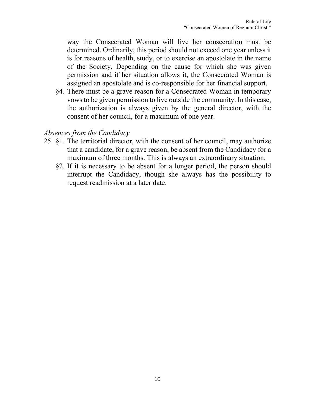way the Consecrated Woman will live her consecration must be determined. Ordinarily, this period should not exceed one year unless it is for reasons of health, study, or to exercise an apostolate in the name of the Society. Depending on the cause for which she was given permission and if her situation allows it, the Consecrated Woman is assigned an apostolate and is co-responsible for her financial support.

§4. There must be a grave reason for a Consecrated Woman in temporary vows to be given permission to live outside the community. In this case, the authorization is always given by the general director, with the consent of her council, for a maximum of one year.

## *Absences from the Candidacy*

- 25. §1. The territorial director, with the consent of her council, may authorize that a candidate, for a grave reason, be absent from the Candidacy for a maximum of three months. This is always an extraordinary situation.
	- §2. If it is necessary to be absent for a longer period, the person should interrupt the Candidacy, though she always has the possibility to request readmission at a later date.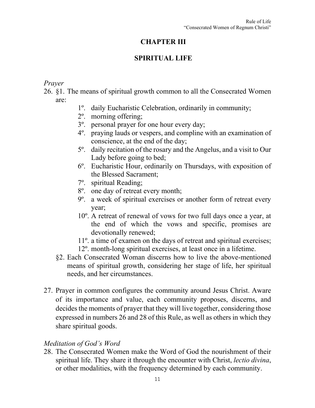# **CHAPTER III**

# **SPIRITUAL LIFE**

# *Prayer*

- 26. §1. The means of spiritual growth common to all the Consecrated Women are:
	- 1º. daily Eucharistic Celebration, ordinarily in community;
	- 2º. morning offering;
	- 3º. personal prayer for one hour every day;
	- 4º. praying lauds or vespers, and compline with an examination of conscience, at the end of the day;
	- 5º. daily recitation of the rosary and the Angelus, and a visit to Our Lady before going to bed;
	- 6º. Eucharistic Hour, ordinarily on Thursdays, with exposition of the Blessed Sacrament;
	- 7º. spiritual Reading;
	- 8º. one day of retreat every month;
	- 9º. a week of spiritual exercises or another form of retreat every year;
	- 10º. A retreat of renewal of vows for two full days once a year, at the end of which the vows and specific, promises are devotionally renewed;
	- 11º. a time of examen on the days of retreat and spiritual exercises;
	- 12º. month-long spiritual exercises, at least once in a lifetime.
	- §2. Each Consecrated Woman discerns how to live the above-mentioned means of spiritual growth, considering her stage of life, her spiritual needs, and her circumstances.
- 27. Prayer in common configures the community around Jesus Christ. Aware of its importance and value, each community proposes, discerns, and decides the moments of prayer that they will live together, considering those expressed in numbers 26 and 28 of this Rule, as well as others in which they share spiritual goods.

# *Meditation of God's Word*

28. The Consecrated Women make the Word of God the nourishment of their spiritual life. They share it through the encounter with Christ, *lectio divina*, or other modalities, with the frequency determined by each community.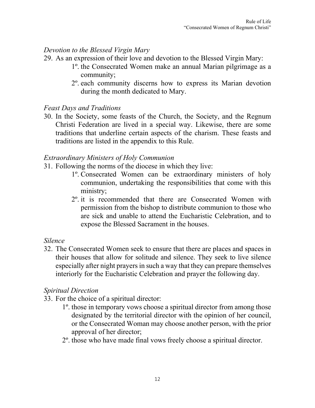# *Devotion to the Blessed Virgin Mary*

- 29. As an expression of their love and devotion to the Blessed Virgin Mary:
	- 1º. the Consecrated Women make an annual Marian pilgrimage as a community;
	- 2º. each community discerns how to express its Marian devotion during the month dedicated to Mary.

## *Feast Days and Traditions*

30. In the Society, some feasts of the Church, the Society, and the Regnum Christi Federation are lived in a special way. Likewise, there are some traditions that underline certain aspects of the charism. These feasts and traditions are listed in the appendix to this Rule.

#### *Extraordinary Ministers of Holy Communion*

- 31. Following the norms of the diocese in which they live:
	- 1º. Consecrated Women can be extraordinary ministers of holy communion, undertaking the responsibilities that come with this ministry;
	- 2º. it is recommended that there are Consecrated Women with permission from the bishop to distribute communion to those who are sick and unable to attend the Eucharistic Celebration, and to expose the Blessed Sacrament in the houses.

#### *Silence*

32. The Consecrated Women seek to ensure that there are places and spaces in their houses that allow for solitude and silence. They seek to live silence especially after night prayers in such a way that they can prepare themselves interiorly for the Eucharistic Celebration and prayer the following day.

# *Spiritual Direction*

- 33. For the choice of a spiritual director:
	- 1º. those in temporary vows choose a spiritual director from among those designated by the territorial director with the opinion of her council, or the Consecrated Woman may choose another person, with the prior approval of her director;
	- 2º. those who have made final vows freely choose a spiritual director.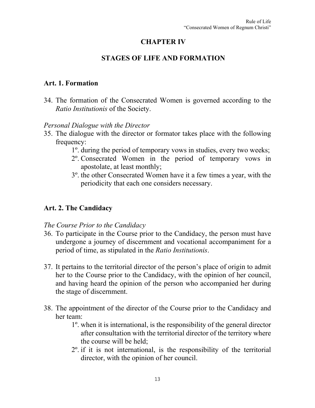# **CHAPTER IV**

# **STAGES OF LIFE AND FORMATION**

#### **Art. 1. Formation**

34. The formation of the Consecrated Women is governed according to the *Ratio Institutionis* of the Society.

## *Personal Dialogue with the Director*

- 35. The dialogue with the director or formator takes place with the following frequency:
	- 1º. during the period of temporary vows in studies, every two weeks;
	- 2º. Consecrated Women in the period of temporary vows in apostolate, at least monthly;
	- 3º. the other Consecrated Women have it a few times a year, with the periodicity that each one considers necessary.

# **Art. 2. The Candidacy**

#### *The Course Prior to the Candidacy*

- 36. To participate in the Course prior to the Candidacy, the person must have undergone a journey of discernment and vocational accompaniment for a period of time, as stipulated in the *Ratio Institutionis*.
- 37. It pertains to the territorial director of the person's place of origin to admit her to the Course prior to the Candidacy, with the opinion of her council, and having heard the opinion of the person who accompanied her during the stage of discernment.
- 38. The appointment of the director of the Course prior to the Candidacy and her team:
	- 1º. when it is international, is the responsibility of the general director after consultation with the territorial director of the territory where the course will be held;
	- 2º. if it is not international, is the responsibility of the territorial director, with the opinion of her council.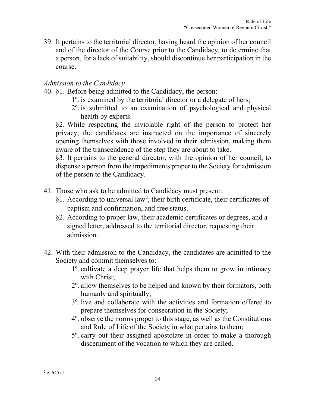39. It pertains to the territorial director, having heard the opinion of her council and of the director of the Course prior to the Candidacy, to determine that a person, for a lack of suitability, should discontinue her participation in the course.

# *Admission to the Candidacy*

- 40. §1. Before being admitted to the Candidacy, the person:
	- 1º. is examined by the territorial director or a delegate of hers;
	- 2º. is submitted to an examination of psychological and physical health by experts.

§2. While respecting the inviolable right of the person to protect her privacy, the candidates are instructed on the importance of sincerely opening themselves with those involved in their admission, making them aware of the transcendence of the step they are about to take.

§3. It pertains to the general director, with the opinion of her council, to dispense a person from the impediments proper to the Society for admission of the person to the Candidacy.

- 41. Those who ask to be admitted to Candidacy must present:
	- §1. According to universal law<sup>[2](#page-13-0)</sup>, their birth certificate, their certificates of baptism and confirmation, and free status.
	- §2. According to proper law, their academic certificates or degrees, and a signed letter, addressed to the territorial director, requesting their admission.
- 42. With their admission to the Candidacy, the candidates are admitted to the Society and commit themselves to:
	- 1º. cultivate a deep prayer life that helps them to grow in intimacy with Christ;
	- 2º. allow themselves to be helped and known by their formators, both humanly and spiritually;
	- 3º. live and collaborate with the activities and formation offered to prepare themselves for consecration in the Society;
	- 4º. observe the norms proper to this stage, as well as the Constitutions and Rule of Life of the Society in what pertains to them;
	- 5º. carry out their assigned apostolate in order to make a thorough discernment of the vocation to which they are called.

<span id="page-13-0"></span> $2$  c. 645 $§1$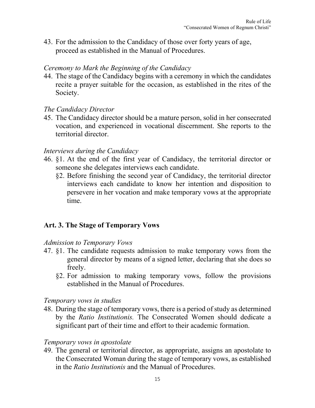43. For the admission to the Candidacy of those over forty years of age, proceed as established in the Manual of Procedures.

## *Ceremony to Mark the Beginning of the Candidacy*

44. The stage of the Candidacy begins with a ceremony in which the candidates recite a prayer suitable for the occasion, as established in the rites of the Society.

## *The Candidacy Director*

45. The Candidacy director should be a mature person, solid in her consecrated vocation, and experienced in vocational discernment. She reports to the territorial director.

## *Interviews during the Candidacy*

- 46. §1. At the end of the first year of Candidacy, the territorial director or someone she delegates interviews each candidate.
	- §2. Before finishing the second year of Candidacy, the territorial director interviews each candidate to know her intention and disposition to persevere in her vocation and make temporary vows at the appropriate time.

# **Art. 3. The Stage of Temporary Vows**

#### *Admission to Temporary Vows*

- 47. §1. The candidate requests admission to make temporary vows from the general director by means of a signed letter, declaring that she does so freely.
	- §2. For admission to making temporary vows, follow the provisions established in the Manual of Procedures.

#### *Temporary vows in studies*

48. During the stage of temporary vows, there is a period of study as determined by the *Ratio Institutionis.* The Consecrated Women should dedicate a significant part of their time and effort to their academic formation.

#### *Temporary vows in apostolate*

49. The general or territorial director, as appropriate, assigns an apostolate to the Consecrated Woman during the stage of temporary vows, as established in the *Ratio Institutionis* and the Manual of Procedures.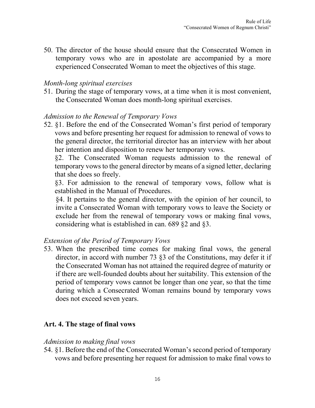50. The director of the house should ensure that the Consecrated Women in temporary vows who are in apostolate are accompanied by a more experienced Consecrated Woman to meet the objectives of this stage.

#### *Month-long spiritual exercises*

51. During the stage of temporary vows, at a time when it is most convenient, the Consecrated Woman does month-long spiritual exercises.

#### *Admission to the Renewal of Temporary Vows*

52. §1. Before the end of the Consecrated Woman's first period of temporary vows and before presenting her request for admission to renewal of vows to the general director, the territorial director has an interview with her about her intention and disposition to renew her temporary vows.

§2. The Consecrated Woman requests admission to the renewal of temporary vows to the general director by means of a signed letter, declaring that she does so freely.

§3. For admission to the renewal of temporary vows, follow what is established in the Manual of Procedures.

§4. It pertains to the general director, with the opinion of her council, to invite a Consecrated Woman with temporary vows to leave the Society or exclude her from the renewal of temporary vows or making final vows, considering what is established in can. 689 §2 and §3.

#### *Extension of the Period of Temporary Vows*

53. When the prescribed time comes for making final vows, the general director, in accord with number 73 §3 of the Constitutions, may defer it if the Consecrated Woman has not attained the required degree of maturity or if there are well-founded doubts about her suitability. This extension of the period of temporary vows cannot be longer than one year, so that the time during which a Consecrated Woman remains bound by temporary vows does not exceed seven years.

# **Art. 4. The stage of final vows**

#### *Admission to making final vows*

54. §1. Before the end of the Consecrated Woman's second period of temporary vows and before presenting her request for admission to make final vows to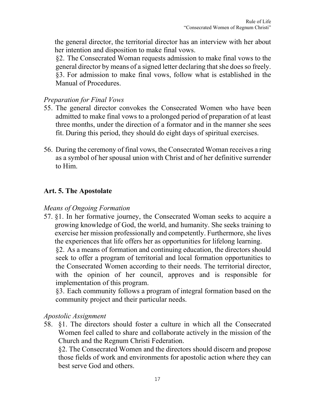the general director, the territorial director has an interview with her about her intention and disposition to make final vows.

§2. The Consecrated Woman requests admission to make final vows to the general director by means of a signed letter declaring that she does so freely. §3. For admission to make final vows, follow what is established in the Manual of Procedures.

# *Preparation for Final Vows*

- 55. The general director convokes the Consecrated Women who have been admitted to make final vows to a prolonged period of preparation of at least three months, under the direction of a formator and in the manner she sees fit. During this period, they should do eight days of spiritual exercises.
- 56. During the ceremony of final vows, the Consecrated Woman receives a ring as a symbol of her spousal union with Christ and of her definitive surrender to Him.

# **Art. 5. The Apostolate**

#### *Means of Ongoing Formation*

57. §1. In her formative journey, the Consecrated Woman seeks to acquire a growing knowledge of God, the world, and humanity. She seeks training to exercise her mission professionally and competently. Furthermore, she lives the experiences that life offers her as opportunities for lifelong learning. §2. As a means of formation and continuing education, the directors should seek to offer a program of territorial and local formation opportunities to the Consecrated Women according to their needs. The territorial director, with the opinion of her council, approves and is responsible for

implementation of this program. §3. Each community follows a program of integral formation based on the community project and their particular needs.

#### *Apostolic Assignment*

58. §1. The directors should foster a culture in which all the Consecrated Women feel called to share and collaborate actively in the mission of the Church and the Regnum Christi Federation.

§2. The Consecrated Women and the directors should discern and propose those fields of work and environments for apostolic action where they can best serve God and others.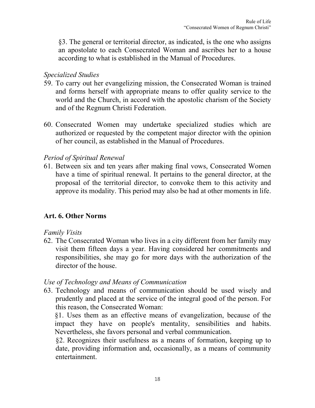§3. The general or territorial director, as indicated, is the one who assigns an apostolate to each Consecrated Woman and ascribes her to a house according to what is established in the Manual of Procedures.

#### *Specialized Studies*

- 59. To carry out her evangelizing mission, the Consecrated Woman is trained and forms herself with appropriate means to offer quality service to the world and the Church, in accord with the apostolic charism of the Society and of the Regnum Christi Federation.
- 60. Consecrated Women may undertake specialized studies which are authorized or requested by the competent major director with the opinion of her council, as established in the Manual of Procedures.

## *Period of Spiritual Renewal*

61. Between six and ten years after making final vows, Consecrated Women have a time of spiritual renewal. It pertains to the general director, at the proposal of the territorial director, to convoke them to this activity and approve its modality. This period may also be had at other moments in life.

# **Art. 6. Other Norms**

#### *Family Visits*

62. The Consecrated Woman who lives in a city different from her family may visit them fifteen days a year. Having considered her commitments and responsibilities, she may go for more days with the authorization of the director of the house.

#### *Use of Technology and Means of Communication*

63. Technology and means of communication should be used wisely and prudently and placed at the service of the integral good of the person. For this reason, the Consecrated Woman:

§1. Uses them as an effective means of evangelization, because of the impact they have on people's mentality, sensibilities and habits. Nevertheless, she favors personal and verbal communication.

§2. Recognizes their usefulness as a means of formation, keeping up to date, providing information and, occasionally, as a means of community entertainment.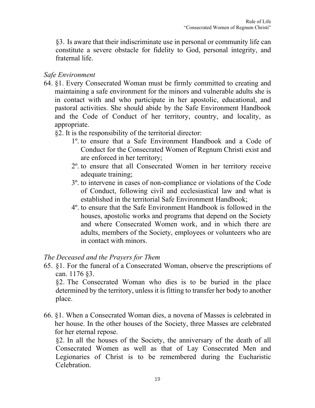§3. Is aware that their indiscriminate use in personal or community life can constitute a severe obstacle for fidelity to God, personal integrity, and fraternal life.

# *Safe Environment*

- 64. §1. Every Consecrated Woman must be firmly committed to creating and maintaining a safe environment for the minors and vulnerable adults she is in contact with and who participate in her apostolic, educational, and pastoral activities. She should abide by the Safe Environment Handbook and the Code of Conduct of her territory, country, and locality, as appropriate.
	- §2. It is the responsibility of the territorial director:
		- 1º. to ensure that a Safe Environment Handbook and a Code of Conduct for the Consecrated Women of Regnum Christi exist and are enforced in her territory;
		- 2º. to ensure that all Consecrated Women in her territory receive adequate training;
		- 3º. to intervene in cases of non-compliance or violations of the Code of Conduct, following civil and ecclesiastical law and what is established in the territorial Safe Environment Handbook;
		- 4º. to ensure that the Safe Environment Handbook is followed in the houses, apostolic works and programs that depend on the Society and where Consecrated Women work, and in which there are adults, members of the Society, employees or volunteers who are in contact with minors.

#### *The Deceased and the Prayers for Them*

65. §1. For the funeral of a Consecrated Woman, observe the prescriptions of can. 1176 §3.

§2. The Consecrated Woman who dies is to be buried in the place determined by the territory, unless it is fitting to transfer her body to another place.

66. §1. When a Consecrated Woman dies, a novena of Masses is celebrated in her house. In the other houses of the Society, three Masses are celebrated for her eternal repose.

§2. In all the houses of the Society, the anniversary of the death of all Consecrated Women as well as that of Lay Consecrated Men and Legionaries of Christ is to be remembered during the Eucharistic Celebration.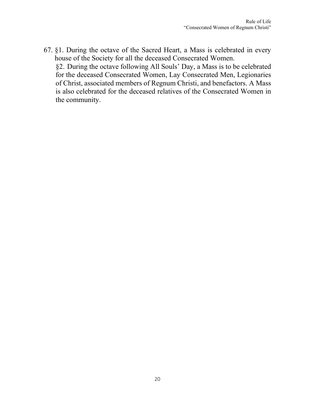67. §1. During the octave of the Sacred Heart, a Mass is celebrated in every house of the Society for all the deceased Consecrated Women. §2. During the octave following All Souls' Day, a Mass is to be celebrated for the deceased Consecrated Women, Lay Consecrated Men, Legionaries of Christ, associated members of Regnum Christi, and benefactors. A Mass is also celebrated for the deceased relatives of the Consecrated Women in the community.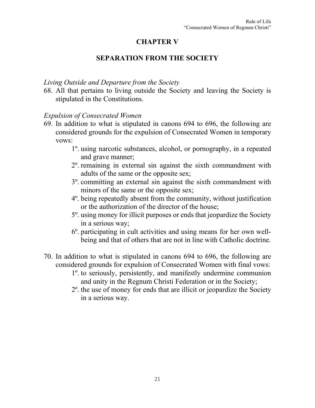# **CHAPTER V**

# **SEPARATION FROM THE SOCIETY**

#### *Living Outside and Departure from the Society*

68. All that pertains to living outside the Society and leaving the Society is stipulated in the Constitutions.

## *Expulsion of Consecrated Women*

- 69. In addition to what is stipulated in canons 694 to 696, the following are considered grounds for the expulsion of Consecrated Women in temporary vows:
	- 1º. using narcotic substances, alcohol, or pornography, in a repeated and grave manner;
	- 2º. remaining in external sin against the sixth commandment with adults of the same or the opposite sex;
	- 3º. committing an external sin against the sixth commandment with minors of the same or the opposite sex;
	- 4º. being repeatedly absent from the community, without justification or the authorization of the director of the house;
	- 5º. using money for illicit purposes or ends that jeopardize the Society in a serious way;
	- 6º. participating in cult activities and using means for her own wellbeing and that of others that are not in line with Catholic doctrine.
- 70. In addition to what is stipulated in canons 694 to 696, the following are considered grounds for expulsion of Consecrated Women with final vows:
	- 1º. to seriously, persistently, and manifestly undermine communion and unity in the Regnum Christi Federation or in the Society;
	- 2º. the use of money for ends that are illicit or jeopardize the Society in a serious way.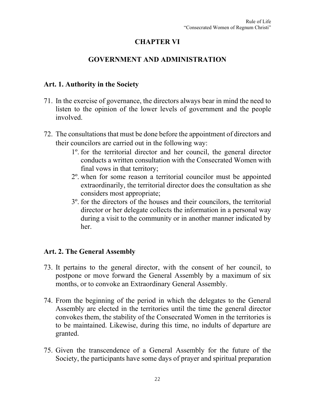# **CHAPTER VI**

# **GOVERNMENT AND ADMINISTRATION**

#### **Art. 1. Authority in the Society**

- 71. In the exercise of governance, the directors always bear in mind the need to listen to the opinion of the lower levels of government and the people involved.
- 72. The consultations that must be done before the appointment of directors and their councilors are carried out in the following way:
	- 1º. for the territorial director and her council, the general director conducts a written consultation with the Consecrated Women with final vows in that territory;
	- 2º. when for some reason a territorial councilor must be appointed extraordinarily, the territorial director does the consultation as she considers most appropriate;
	- 3º. for the directors of the houses and their councilors, the territorial director or her delegate collects the information in a personal way during a visit to the community or in another manner indicated by her.

#### **Art. 2. The General Assembly**

- 73. It pertains to the general director, with the consent of her council, to postpone or move forward the General Assembly by a maximum of six months, or to convoke an Extraordinary General Assembly.
- 74. From the beginning of the period in which the delegates to the General Assembly are elected in the territories until the time the general director convokes them, the stability of the Consecrated Women in the territories is to be maintained. Likewise, during this time, no indults of departure are granted.
- 75. Given the transcendence of a General Assembly for the future of the Society, the participants have some days of prayer and spiritual preparation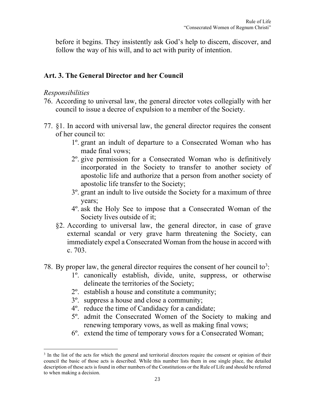before it begins. They insistently ask God's help to discern, discover, and follow the way of his will, and to act with purity of intention.

## **Art. 3. The General Director and her Council**

#### *Responsibilities*

- 76. According to universal law, the general director votes collegially with her council to issue a decree of expulsion to a member of the Society.
- 77. §1. In accord with universal law, the general director requires the consent of her council to:
	- 1º. grant an indult of departure to a Consecrated Woman who has made final vows;
	- 2º. give permission for a Consecrated Woman who is definitively incorporated in the Society to transfer to another society of apostolic life and authorize that a person from another society of apostolic life transfer to the Society;
	- 3º. grant an indult to live outside the Society for a maximum of three years;
	- 4º. ask the Holy See to impose that a Consecrated Woman of the Society lives outside of it;
	- §2. According to universal law, the general director, in case of grave external scandal or very grave harm threatening the Society, can immediately expel a Consecrated Woman from the house in accord with c. 703.
- 78. By proper law, the general director requires the consent of her council to<sup>[3](#page-22-0)</sup>:
	- 1º. canonically establish, divide, unite, suppress, or otherwise delineate the territories of the Society;
	- 2º. establish a house and constitute a community;
	- 3º. suppress a house and close a community;
	- 4º. reduce the time of Candidacy for a candidate;
	- 5º. admit the Consecrated Women of the Society to making and renewing temporary vows, as well as making final vows;
	- 6º. extend the time of temporary vows for a Consecrated Woman;

<span id="page-22-0"></span><sup>&</sup>lt;sup>3</sup> In the list of the acts for which the general and territorial directors require the consent or opinion of their council the basic of those acts is described. While this number lists them in one single place, the detailed description of these acts is found in other numbers of the Constitutions or the Rule of Life and should be referred to when making a decision.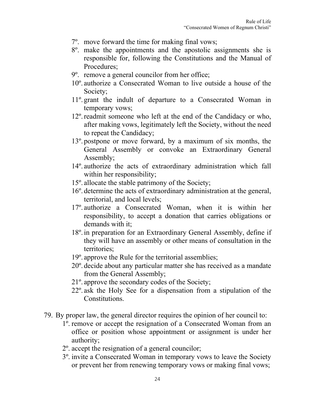- 7º. move forward the time for making final vows;
- 8º. make the appointments and the apostolic assignments she is responsible for, following the Constitutions and the Manual of Procedures;
- 9º. remove a general councilor from her office;
- 10º. authorize a Consecrated Woman to live outside a house of the Society;
- 11º. grant the indult of departure to a Consecrated Woman in temporary vows;
- 12º.readmit someone who left at the end of the Candidacy or who, after making vows, legitimately left the Society, without the need to repeat the Candidacy;
- 13º. postpone or move forward, by a maximum of six months, the General Assembly or convoke an Extraordinary General Assembly;
- 14º. authorize the acts of extraordinary administration which fall within her responsibility;
- 15º. allocate the stable patrimony of the Society;
- 16º. determine the acts of extraordinary administration at the general, territorial, and local levels;
- 17º. authorize a Consecrated Woman, when it is within her responsibility, to accept a donation that carries obligations or demands with it;
- 18º. in preparation for an Extraordinary General Assembly, define if they will have an assembly or other means of consultation in the territories;
- 19º. approve the Rule for the territorial assemblies;
- 20º. decide about any particular matter she has received as a mandate from the General Assembly;
- 21º. approve the secondary codes of the Society;
- 22º. ask the Holy See for a dispensation from a stipulation of the Constitutions.
- 79. By proper law, the general director requires the opinion of her council to:
	- 1º. remove or accept the resignation of a Consecrated Woman from an office or position whose appointment or assignment is under her authority;
	- 2º. accept the resignation of a general councilor;
	- 3º. invite a Consecrated Woman in temporary vows to leave the Society or prevent her from renewing temporary vows or making final vows;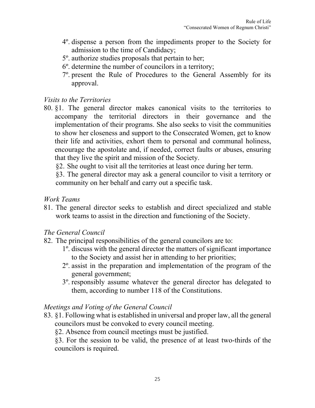- 4º. dispense a person from the impediments proper to the Society for admission to the time of Candidacy;
- 5º. authorize studies proposals that pertain to her;
- 6º. determine the number of councilors in a territory;
- 7º. present the Rule of Procedures to the General Assembly for its approval.

#### *Visits to the Territories*

80. §1. The general director makes canonical visits to the territories to accompany the territorial directors in their governance and the implementation of their programs. She also seeks to visit the communities to show her closeness and support to the Consecrated Women, get to know their life and activities, exhort them to personal and communal holiness, encourage the apostolate and, if needed, correct faults or abuses, ensuring that they live the spirit and mission of the Society.

§2. She ought to visit all the territories at least once during her term.

§3. The general director may ask a general councilor to visit a territory or community on her behalf and carry out a specific task.

#### *Work Teams*

81. The general director seeks to establish and direct specialized and stable work teams to assist in the direction and functioning of the Society.

#### *The General Council*

- 82. The principal responsibilities of the general councilors are to:
	- 1º. discuss with the general director the matters of significant importance to the Society and assist her in attending to her priorities;
	- 2º. assist in the preparation and implementation of the program of the general government;
	- 3º. responsibly assume whatever the general director has delegated to them, according to number 118 of the Constitutions.

# *Meetings and Voting of the General Council*

83. §1. Following what is established in universal and proper law, all the general councilors must be convoked to every council meeting.

§2. Absence from council meetings must be justified.

§3. For the session to be valid, the presence of at least two-thirds of the councilors is required.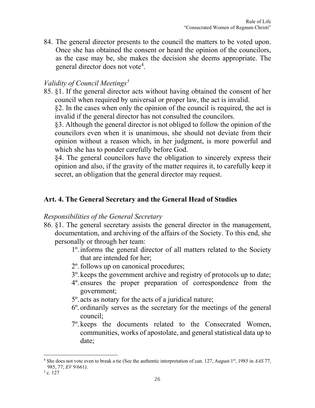84. The general director presents to the council the matters to be voted upon. Once she has obtained the consent or heard the opinion of the councilors, as the case may be, she makes the decision she deems appropriate. The general director does not vote<sup>[4](#page-25-0)</sup>.

# *Validity of Council Meetings[5](#page-25-1)*

85. §1. If the general director acts without having obtained the consent of her council when required by universal or proper law, the act is invalid.

§2. In the cases when only the opinion of the council is required, the act is invalid if the general director has not consulted the councilors.

§3. Although the general director is not obliged to follow the opinion of the councilors even when it is unanimous, she should not deviate from their opinion without a reason which, in her judgment, is more powerful and which she has to ponder carefully before God.

§4. The general councilors have the obligation to sincerely express their opinion and also, if the gravity of the matter requires it, to carefully keep it secret, an obligation that the general director may request.

# **Art. 4. The General Secretary and the General Head of Studies**

#### *Responsibilities of the General Secretary*

- 86. §1. The general secretary assists the general director in the management, documentation, and archiving of the affairs of the Society. To this end, she personally or through her team:
	- 1º. informs the general director of all matters related to the Society that are intended for her;
	- 2º.follows up on canonical procedures;
	- 3º. keeps the government archive and registry of protocols up to date;
	- 4º. ensures the proper preparation of correspondence from the government;
	- 5º. acts as notary for the acts of a juridical nature;
	- 6º. ordinarily serves as the secretary for the meetings of the general council;
	- 7º. keeps the documents related to the Consecrated Women, communities, works of apostolate, and general statistical data up to date;

<span id="page-25-0"></span><sup>4</sup> She does not vote even to break a tie (See the authentic interpretation of can. 127, August 1st, 1985 in *AAS* 77, 985, 77; *EV* 9/661).

<span id="page-25-1"></span> $5$  c. 127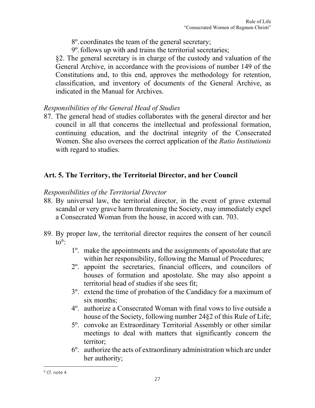- 8º. coordinates the team of the general secretary;
- 9º.follows up with and trains the territorial secretaries;

§2. The general secretary is in charge of the custody and valuation of the General Archive, in accordance with the provisions of number 149 of the Constitutions and, to this end, approves the methodology for retention, classification, and inventory of documents of the General Archive, as indicated in the Manual for Archives.

# *Responsibilities of the General Head of Studies*

87. The general head of studies collaborates with the general director and her council in all that concerns the intellectual and professional formation, continuing education, and the doctrinal integrity of the Consecrated Women. She also oversees the correct application of the *Ratio Institutionis* with regard to studies.

# **Art. 5. The Territory, the Territorial Director, and her Council**

#### *Responsibilities of the Territorial Director*

- 88. By universal law, the territorial director, in the event of grave external scandal or very grave harm threatening the Society, may immediately expel a Consecrated Woman from the house, in accord with can. 703.
- 89. By proper law, the territorial director requires the consent of her council to<sup>[6](#page-26-0)</sup>:
	- 1º. make the appointments and the assignments of apostolate that are within her responsibility, following the Manual of Procedures;
	- 2º. appoint the secretaries, financial officers, and councilors of houses of formation and apostolate. She may also appoint a territorial head of studies if she sees fit;
	- 3º. extend the time of probation of the Candidacy for a maximum of six months;
	- 4º. authorize a Consecrated Woman with final vows to live outside a house of the Society, following number 24§2 of this Rule of Life;
	- 5º. convoke an Extraordinary Territorial Assembly or other similar meetings to deal with matters that significantly concern the territor;
	- 6º. authorize the acts of extraordinary administration which are under her authority;

<span id="page-26-0"></span> $6$  Cf. note 4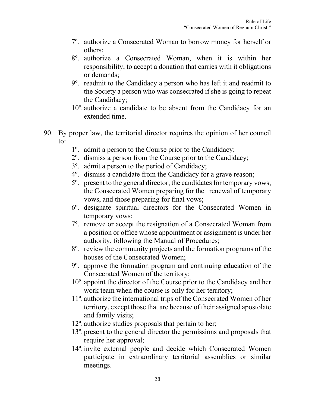- 7º. authorize a Consecrated Woman to borrow money for herself or others;
- 8º. authorize a Consecrated Woman, when it is within her responsibility, to accept a donation that carries with it obligations or demands;
- 9º. readmit to the Candidacy a person who has left it and readmit to the Society a person who was consecrated if she is going to repeat the Candidacy;
- 10º. authorize a candidate to be absent from the Candidacy for an extended time.
- 90. By proper law, the territorial director requires the opinion of her council to:
	- 1º. admit a person to the Course prior to the Candidacy;
	- 2º. dismiss a person from the Course prior to the Candidacy;
	- 3º. admit a person to the period of Candidacy;
	- 4º. dismiss a candidate from the Candidacy for a grave reason;
	- 5º. present to the general director, the candidates for temporary vows, the Consecrated Women preparing for the renewal of temporary vows, and those preparing for final vows;
	- 6º. designate spiritual directors for the Consecrated Women in temporary vows;
	- 7º. remove or accept the resignation of a Consecrated Woman from a position or office whose appointment or assignment is under her authority, following the Manual of Procedures;
	- 8º. review the community projects and the formation programs of the houses of the Consecrated Women;
	- 9º. approve the formation program and continuing education of the Consecrated Women of the territory;
	- 10º. appoint the director of the Course prior to the Candidacy and her work team when the course is only for her territory;
	- 11º. authorize the international trips of the Consecrated Women of her territory, except those that are because of their assigned apostolate and family visits;
	- 12º. authorize studies proposals that pertain to her;
	- 13º. present to the general director the permissions and proposals that require her approval;
	- 14º. invite external people and decide which Consecrated Women participate in extraordinary territorial assemblies or similar meetings.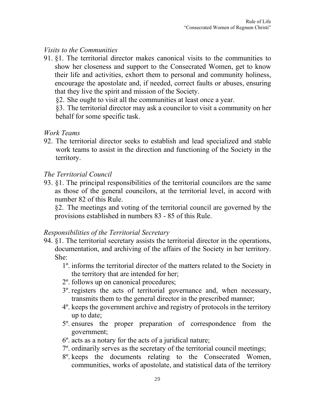# *Visits to the Communities*

91. §1. The territorial director makes canonical visits to the communities to show her closeness and support to the Consecrated Women, get to know their life and activities, exhort them to personal and community holiness, encourage the apostolate and, if needed, correct faults or abuses, ensuring that they live the spirit and mission of the Society.

§2. She ought to visit all the communities at least once a year.

§3. The territorial director may ask a councilor to visit a community on her behalf for some specific task.

#### *Work Teams*

92. The territorial director seeks to establish and lead specialized and stable work teams to assist in the direction and functioning of the Society in the territory.

## *The Territorial Council*

93. §1. The principal responsibilities of the territorial councilors are the same as those of the general councilors, at the territorial level, in accord with number 82 of this Rule.

§2. The meetings and voting of the territorial council are governed by the provisions established in numbers 83 - 85 of this Rule.

#### *Responsibilities of the Territorial Secretary*

- 94. §1. The territorial secretary assists the territorial director in the operations, documentation, and archiving of the affairs of the Society in her territory. She:
	- 1º. informs the territorial director of the matters related to the Society in the territory that are intended for her;
	- 2º. follows up on canonical procedures;
	- 3º. registers the acts of territorial governance and, when necessary, transmits them to the general director in the prescribed manner;
	- 4º. keeps the government archive and registry of protocols in the territory up to date;
	- 5º. ensures the proper preparation of correspondence from the government;
	- 6º. acts as a notary for the acts of a juridical nature;
	- 7º. ordinarily serves as the secretary of the territorial council meetings;
	- 8º. keeps the documents relating to the Consecrated Women, communities, works of apostolate, and statistical data of the territory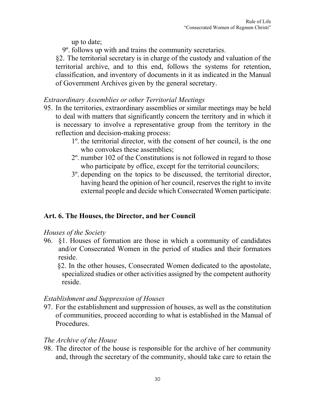up to date;

9º. follows up with and trains the community secretaries.

§2. The territorial secretary is in charge of the custody and valuation of the territorial archive, and to this end, follows the systems for retention, classification, and inventory of documents in it as indicated in the Manual of Government Archives given by the general secretary.

# *Extraordinary Assemblies or other Territorial Meetings*

- 95. In the territories, extraordinary assemblies or similar meetings may be held to deal with matters that significantly concern the territory and in which it is necessary to involve a representative group from the territory in the reflection and decision-making process:
	- 1º. the territorial director, with the consent of her council, is the one who convokes these assemblies;
	- 2º. number 102 of the Constitutions is not followed in regard to those who participate by office, except for the territorial councilors;
	- 3º. depending on the topics to be discussed, the territorial director, having heard the opinion of her council, reserves the right to invite external people and decide which Consecrated Women participate.

# **Art. 6. The Houses, the Director, and her Council**

#### *Houses of the Society*

96. §1. Houses of formation are those in which a community of candidates and/or Consecrated Women in the period of studies and their formators reside.

§2. In the other houses, Consecrated Women dedicated to the apostolate, specialized studies or other activities assigned by the competent authority reside.

# *Establishment and Suppression of Houses*

97. For the establishment and suppression of houses, as well as the constitution of communities, proceed according to what is established in the Manual of Procedures.

# *The Archive of the House*

98. The director of the house is responsible for the archive of her community and, through the secretary of the community, should take care to retain the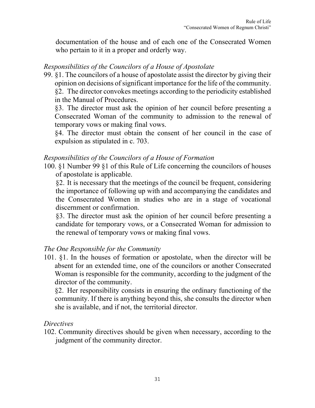documentation of the house and of each one of the Consecrated Women who pertain to it in a proper and orderly way.

# *Responsibilities of the Councilors of a House of Apostolate*

99. §1. The councilors of a house of apostolate assist the director by giving their opinion on decisions of significant importance for the life of the community. §2. The director convokes meetings according to the periodicity established in the Manual of Procedures.

§3. The director must ask the opinion of her council before presenting a Consecrated Woman of the community to admission to the renewal of temporary vows or making final vows.

§4. The director must obtain the consent of her council in the case of expulsion as stipulated in c. 703.

# *Responsibilities of the Councilors of a House of Formation*

100. §1 Number 99 §1 of this Rule of Life concerning the councilors of houses of apostolate is applicable.

§2. It is necessary that the meetings of the council be frequent, considering the importance of following up with and accompanying the candidates and the Consecrated Women in studies who are in a stage of vocational discernment or confirmation.

§3. The director must ask the opinion of her council before presenting a candidate for temporary vows, or a Consecrated Woman for admission to the renewal of temporary vows or making final vows.

# *The One Responsible for the Community*

101. §1. In the houses of formation or apostolate, when the director will be absent for an extended time, one of the councilors or another Consecrated Woman is responsible for the community, according to the judgment of the director of the community.

§2. Her responsibility consists in ensuring the ordinary functioning of the community. If there is anything beyond this, she consults the director when she is available, and if not, the territorial director.

#### *Directives*

102. Community directives should be given when necessary, according to the judgment of the community director.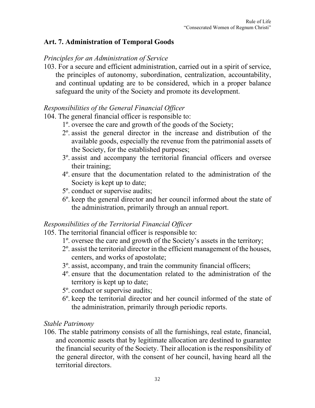# **Art. 7. Administration of Temporal Goods**

#### *Principles for an Administration of Service*

103. For a secure and efficient administration, carried out in a spirit of service, the principles of autonomy, subordination, centralization, accountability, and continual updating are to be considered, which in a proper balance safeguard the unity of the Society and promote its development.

# *Responsibilities of the General Financial Officer*

104. The general financial officer is responsible to:

- 1º. oversee the care and growth of the goods of the Society;
- 2º. assist the general director in the increase and distribution of the available goods, especially the revenue from the patrimonial assets of the Society, for the established purposes;
- 3º. assist and accompany the territorial financial officers and oversee their training;
- 4º. ensure that the documentation related to the administration of the Society is kept up to date;
- 5º. conduct or supervise audits;
- 6º. keep the general director and her council informed about the state of the administration, primarily through an annual report.

# *Responsibilities of the Territorial Financial Officer*

105. The territorial financial officer is responsible to:

- 1º. oversee the care and growth of the Society's assets in the territory;
- 2º. assist the territorial director in the efficient management of the houses, centers, and works of apostolate;
- 3º. assist, accompany, and train the community financial officers;
- 4º. ensure that the documentation related to the administration of the territory is kept up to date;
- 5º. conduct or supervise audits;
- 6º. keep the territorial director and her council informed of the state of the administration, primarily through periodic reports.

# *Stable Patrimony*

106. The stable patrimony consists of all the furnishings, real estate, financial, and economic assets that by legitimate allocation are destined to guarantee the financial security of the Society. Their allocation is the responsibility of the general director, with the consent of her council, having heard all the territorial directors.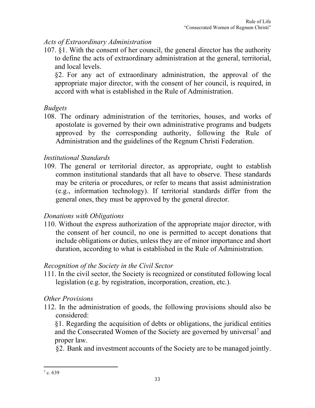# *Acts of Extraordinary Administration*

107. §1. With the consent of her council, the general director has the authority to define the acts of extraordinary administration at the general, territorial, and local levels.

§2. For any act of extraordinary administration, the approval of the appropriate major director, with the consent of her council, is required, in accord with what is established in the Rule of Administration.

# *Budgets*

108. The ordinary administration of the territories, houses, and works of apostolate is governed by their own administrative programs and budgets approved by the corresponding authority, following the Rule of Administration and the guidelines of the Regnum Christi Federation.

# *Institutional Standards*

109. The general or territorial director, as appropriate, ought to establish common institutional standards that all have to observe. These standards may be criteria or procedures, or refer to means that assist administration (e.g., information technology). If territorial standards differ from the general ones, they must be approved by the general director.

# *Donations with Obligations*

110. Without the express authorization of the appropriate major director, with the consent of her council, no one is permitted to accept donations that include obligations or duties, unless they are of minor importance and short duration, according to what is established in the Rule of Administration.

# *Recognition of the Society in the Civil Sector*

111. In the civil sector, the Society is recognized or constituted following local legislation (e.g. by registration, incorporation, creation, etc.).

# *Other Provisions*

112. In the administration of goods, the following provisions should also be considered:

§1. Regarding the acquisition of debts or obligations, the juridical entities and the Consecrated Women of the Society are governed by universal<sup>[7](#page-32-0)</sup> and proper law.

§2. Bank and investment accounts of the Society are to be managed jointly.

<span id="page-32-0"></span> $7 c. 639$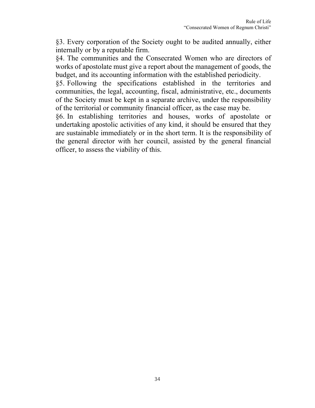§3. Every corporation of the Society ought to be audited annually, either internally or by a reputable firm.

§4. The communities and the Consecrated Women who are directors of works of apostolate must give a report about the management of goods, the budget, and its accounting information with the established periodicity.

§5. Following the specifications established in the territories and communities, the legal, accounting, fiscal, administrative, etc., documents of the Society must be kept in a separate archive, under the responsibility of the territorial or community financial officer, as the case may be.

§6. In establishing territories and houses, works of apostolate or undertaking apostolic activities of any kind, it should be ensured that they are sustainable immediately or in the short term. It is the responsibility of the general director with her council, assisted by the general financial officer, to assess the viability of this.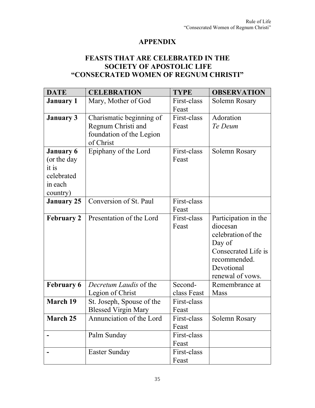# **APPENDIX**

# **FEASTS THAT ARE CELEBRATED IN THE SOCIETY OF APOSTOLIC LIFE "CONSECRATED WOMEN OF REGNUM CHRISTI"**

| <b>DATE</b>                                                                                                 | <b>CELEBRATION</b>                                      | <b>TYPE</b>            | <b>OBSERVATION</b>                                                                                                                        |
|-------------------------------------------------------------------------------------------------------------|---------------------------------------------------------|------------------------|-------------------------------------------------------------------------------------------------------------------------------------------|
| <b>January 1</b>                                                                                            | Mary, Mother of God                                     | First-class<br>Feast   | Solemn Rosary                                                                                                                             |
| Charismatic beginning of<br><b>January 3</b><br>Regnum Christi and<br>foundation of the Legion<br>of Christ |                                                         | First-class<br>Feast   | Adoration<br>Te Deum                                                                                                                      |
| <b>January 6</b><br>(or the day<br>it is<br>celebrated<br>in each<br>country)                               | Epiphany of the Lord                                    | First-class<br>Feast   | Solemn Rosary                                                                                                                             |
| <b>January 25</b>                                                                                           | Conversion of St. Paul                                  | First-class<br>Feast   |                                                                                                                                           |
| <b>February 2</b>                                                                                           | Presentation of the Lord                                | First-class<br>Feast   | Participation in the<br>diocesan<br>celebration of the<br>Day of<br>Consecrated Life is<br>recommended.<br>Devotional<br>renewal of vows. |
| <b>February 6</b>                                                                                           | Decretum Laudis of the<br>Legion of Christ              | Second-<br>class Feast | Remembrance at<br><b>Mass</b>                                                                                                             |
| <b>March 19</b>                                                                                             | St. Joseph, Spouse of the<br><b>Blessed Virgin Mary</b> | First-class<br>Feast   |                                                                                                                                           |
| <b>March 25</b>                                                                                             | Annunciation of the Lord                                | First-class<br>Feast   | Solemn Rosary                                                                                                                             |
|                                                                                                             | Palm Sunday                                             | First-class<br>Feast   |                                                                                                                                           |
|                                                                                                             | Easter Sunday                                           | First-class<br>Feast   |                                                                                                                                           |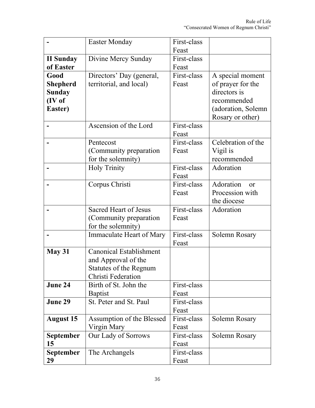|                  | <b>Easter Monday</b>           | First-class |                        |
|------------------|--------------------------------|-------------|------------------------|
|                  |                                | Feast       |                        |
| <b>II Sunday</b> | Divine Mercy Sunday            | First-class |                        |
| of Easter        |                                | Feast       |                        |
| Good             | Directors' Day (general,       | First-class | A special moment       |
| <b>Shepherd</b>  | territorial, and local)        | Feast       | of prayer for the      |
| <b>Sunday</b>    |                                |             | directors is           |
| (IV of           |                                |             | recommended            |
| Easter)          |                                |             | (adoration, Solemn     |
|                  |                                |             | Rosary or other)       |
|                  | Ascension of the Lord          | First-class |                        |
|                  |                                | Feast       |                        |
|                  | Pentecost                      | First-class | Celebration of the     |
|                  | (Community preparation)        | Feast       | Vigil is               |
|                  | for the solemnity)             |             | recommended            |
|                  | <b>Holy Trinity</b>            | First-class | Adoration              |
|                  |                                | Feast       |                        |
|                  | Corpus Christi                 | First-class | Adoration<br><b>or</b> |
|                  |                                | Feast       | Procession with        |
|                  |                                |             | the diocese            |
|                  | <b>Sacred Heart of Jesus</b>   | First-class | Adoration              |
|                  | (Community preparation         | Feast       |                        |
|                  | for the solemnity)             |             |                        |
|                  | Immaculate Heart of Mary       | First-class | Solemn Rosary          |
|                  |                                | Feast       |                        |
| May 31           | <b>Canonical Establishment</b> |             |                        |
|                  | and Approval of the            |             |                        |
|                  | Statutes of the Regnum         |             |                        |
|                  | Christi Federation             |             |                        |
| June 24          | Birth of St. John the          | First-class |                        |
|                  | <b>Baptist</b>                 | Feast       |                        |
| June 29          | St. Peter and St. Paul         | First-class |                        |
|                  |                                | Feast       |                        |
| <b>August 15</b> | Assumption of the Blessed      | First-class | Solemn Rosary          |
|                  | Virgin Mary                    | Feast       |                        |
| <b>September</b> | Our Lady of Sorrows            | First-class | Solemn Rosary          |
| 15               |                                | Feast       |                        |
| <b>September</b> | The Archangels                 | First-class |                        |
| 29               |                                | Feast       |                        |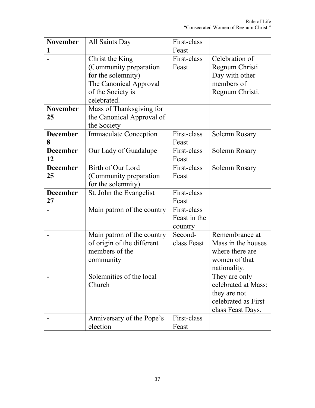| <b>November</b> | All Saints Day                               | First-class            |                                      |
|-----------------|----------------------------------------------|------------------------|--------------------------------------|
| 1               | Feast                                        |                        |                                      |
|                 | Christ the King                              | First-class            | Celebration of                       |
|                 | (Community preparation                       | Feast                  | Regnum Christi                       |
|                 | for the solemnity)                           |                        | Day with other                       |
|                 | The Canonical Approval                       |                        | members of                           |
|                 | of the Society is                            |                        | Regnum Christi.                      |
|                 | celebrated.                                  |                        |                                      |
| <b>November</b> | Mass of Thanksgiving for                     |                        |                                      |
| 25              | the Canonical Approval of                    |                        |                                      |
|                 | the Society                                  |                        |                                      |
| <b>December</b> | <b>Immaculate Conception</b>                 | First-class            | Solemn Rosary                        |
| 8               |                                              | Feast                  |                                      |
| <b>December</b> | Our Lady of Guadalupe                        | First-class            | Solemn Rosary                        |
| 12              |                                              | Feast                  |                                      |
| <b>December</b> | Birth of Our Lord                            | First-class            | Solemn Rosary                        |
| 25              | (Community preparation                       | Feast                  |                                      |
|                 | for the solemnity)                           |                        |                                      |
| <b>December</b> | St. John the Evangelist                      | First-class            |                                      |
| 27              |                                              | Feast                  |                                      |
|                 | Main patron of the country                   | First-class            |                                      |
|                 |                                              | Feast in the           |                                      |
|                 |                                              | country                |                                      |
|                 | Main patron of the country                   | Second-<br>class Feast | Remembrance at<br>Mass in the houses |
|                 | of origin of the different<br>members of the |                        | where there are                      |
|                 | community                                    |                        | women of that                        |
|                 |                                              |                        | nationality.                         |
|                 | Solemnities of the local                     |                        | They are only                        |
|                 | Church                                       |                        | celebrated at Mass;                  |
|                 |                                              |                        | they are not                         |
|                 |                                              |                        | celebrated as First-                 |
|                 |                                              |                        | class Feast Days.                    |
|                 | Anniversary of the Pope's                    | First-class            |                                      |
|                 | election                                     | Feast                  |                                      |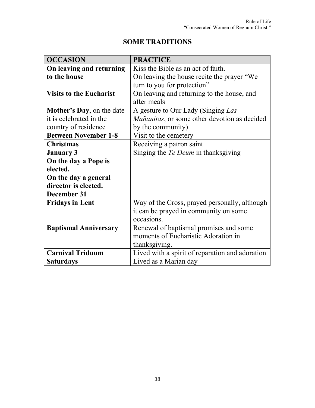| <b>OCCASION</b>                | <b>PRACTICE</b>                                 |
|--------------------------------|-------------------------------------------------|
| On leaving and returning       | Kiss the Bible as an act of faith.              |
| to the house                   | On leaving the house recite the prayer "We      |
|                                | turn to you for protection"                     |
| <b>Visits to the Eucharist</b> | On leaving and returning to the house, and      |
|                                | after meals                                     |
| Mother's Day, on the date      | A gesture to Our Lady (Singing Las              |
| it is celebrated in the        | Mañanitas, or some other devotion as decided    |
| country of residence           | by the community).                              |
| <b>Between November 1-8</b>    | Visit to the cemetery                           |
| <b>Christmas</b>               | Receiving a patron saint                        |
| <b>January 3</b>               | Singing the <i>Te Deum</i> in thanksgiving      |
| On the day a Pope is           |                                                 |
| elected.                       |                                                 |
| On the day a general           |                                                 |
| director is elected.           |                                                 |
| December 31                    |                                                 |
| <b>Fridays in Lent</b>         | Way of the Cross, prayed personally, although   |
|                                | it can be prayed in community on some           |
|                                | occasions.                                      |
| <b>Baptismal Anniversary</b>   | Renewal of baptismal promises and some          |
|                                | moments of Eucharistic Adoration in             |
|                                | thanksgiving.                                   |
| <b>Carnival Triduum</b>        | Lived with a spirit of reparation and adoration |
| <b>Saturdays</b>               | Lived as a Marian day                           |

# **SOME TRADITIONS**